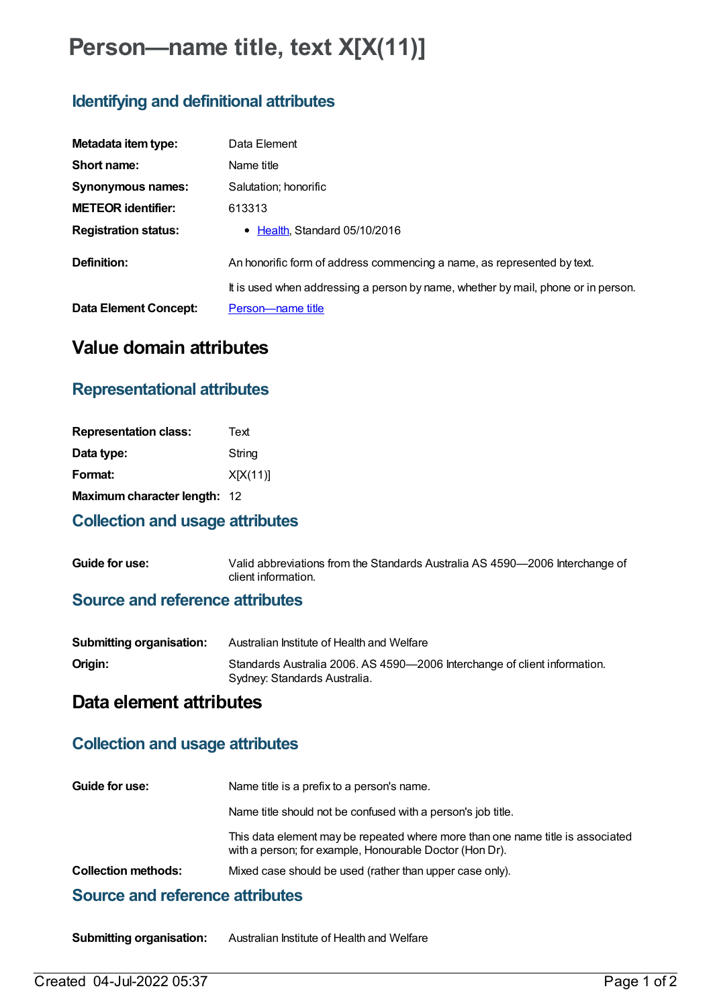# **Person—name title, text X[X(11)]**

# **Identifying and definitional attributes**

| Metadata item type:         | Data Element                                                                      |
|-----------------------------|-----------------------------------------------------------------------------------|
| Short name:                 | Name title                                                                        |
| Synonymous names:           | Salutation; honorific                                                             |
| <b>METEOR identifier:</b>   | 613313                                                                            |
| <b>Registration status:</b> | • Health, Standard 05/10/2016                                                     |
| Definition:                 | An honorific form of address commencing a name, as represented by text.           |
|                             | It is used when addressing a person by name, whether by mail, phone or in person. |
| Data Element Concept:       | Person-name title                                                                 |

# **Value domain attributes**

## **Representational attributes**

| <b>Representation class:</b> | Text     |
|------------------------------|----------|
| Data type:                   | String   |
| Format:                      | X[X(11)] |
| Maximum character length: 12 |          |

#### **Collection and usage attributes**

**Guide for use:** Valid abbreviations from the Standards Australia AS 4590—2006 Interchange of client information.

#### **Source and reference attributes**

| <b>Submitting organisation:</b> | Australian Institute of Health and Welfare                                                                |
|---------------------------------|-----------------------------------------------------------------------------------------------------------|
| Origin:                         | Standards Australia 2006. AS 4590-2006 Interchange of client information.<br>Sydney: Standards Australia. |

# **Data element attributes**

## **Collection and usage attributes**

| Guide for use:             | Name title is a prefix to a person's name.                                                                                                |
|----------------------------|-------------------------------------------------------------------------------------------------------------------------------------------|
|                            | Name title should not be confused with a person's job title.                                                                              |
|                            | This data element may be repeated where more than one name title is associated<br>with a person; for example, Honourable Doctor (Hon Dr). |
| <b>Collection methods:</b> | Mixed case should be used (rather than upper case only).                                                                                  |
|                            |                                                                                                                                           |

#### **Source and reference attributes**

**Submitting organisation:** Australian Institute of Health and Welfare